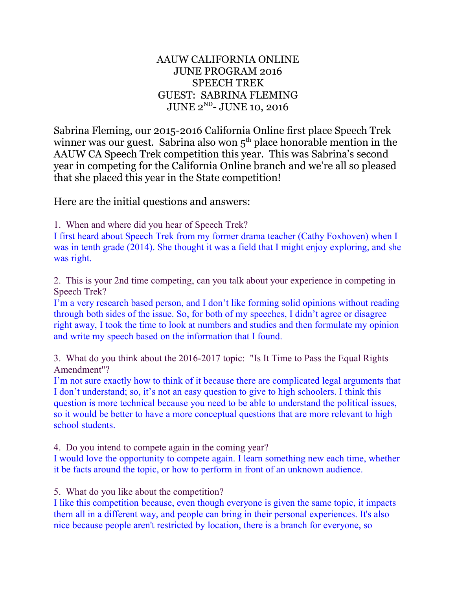## AAUW CALIFORNIA ONLINE JUNE PROGRAM 2016 SPEECH TREK GUEST: SABRINA FLEMING JUNE 2<sup>ND</sup>- JUNE 10, 2016

Sabrina Fleming, our 2015-2016 California Online first place Speech Trek winner was our guest. Sabrina also won  $5<sup>th</sup>$  place honorable mention in the AAUW CA Speech Trek competition this year. This was Sabrina's second year in competing for the California Online branch and we're all so pleased that she placed this year in the State competition!

Here are the initial questions and answers:

1. When and where did you hear of Speech Trek?

I first heard about Speech Trek from my former drama teacher (Cathy Foxhoven) when I was in tenth grade (2014). She thought it was a field that I might enjoy exploring, and she was right.

2. This is your 2nd time competing, can you talk about your experience in competing in Speech Trek?

I'm a very research based person, and I don't like forming solid opinions without reading through both sides of the issue. So, for both of my speeches, I didn't agree or disagree right away, I took the time to look at numbers and studies and then formulate my opinion and write my speech based on the information that I found.

3. What do you think about the 2016-2017 topic: "Is It Time to Pass the Equal Rights Amendment"?

I'm not sure exactly how to think of it because there are complicated legal arguments that I don't understand; so, it's not an easy question to give to high schoolers. I think this question is more technical because you need to be able to understand the political issues, so it would be better to have a more conceptual questions that are more relevant to high school students.

4. Do you intend to compete again in the coming year?

I would love the opportunity to compete again. I learn something new each time, whether it be facts around the topic, or how to perform in front of an unknown audience.

5. What do you like about the competition?

I like this competition because, even though everyone is given the same topic, it impacts them all in a different way, and people can bring in their personal experiences. It's also nice because people aren't restricted by location, there is a branch for everyone, so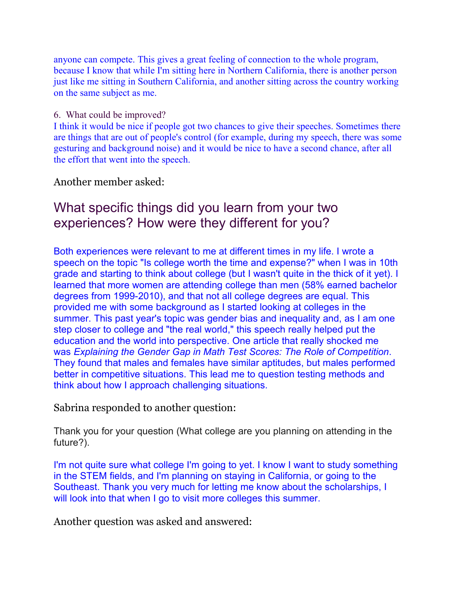anyone can compete. This gives a great feeling of connection to the whole program, because I know that while I'm sitting here in Northern California, there is another person just like me sitting in Southern California, and another sitting across the country working on the same subject as me.

## 6. What could be improved?

I think it would be nice if people got two chances to give their speeches. Sometimes there are things that are out of people's control (for example, during my speech, there was some gesturing and background noise) and it would be nice to have a second chance, after all the effort that went into the speech.

Another member asked:

## What specific things did you learn from your two experiences? How were they different for you?

Both experiences were relevant to me at different times in my life. I wrote a speech on the topic "Is college worth the time and expense?" when I was in 10th grade and starting to think about college (but I wasn't quite in the thick of it yet). I learned that more women are attending college than men (58% earned bachelor degrees from 1999-2010), and that not all college degrees are equal. This provided me with some background as I started looking at colleges in the summer. This past year's topic was gender bias and inequality and, as I am one step closer to college and "the real world," this speech really helped put the education and the world into perspective. One article that really shocked me was *Explaining the Gender Gap in Math Test Scores: The Role of Competition*. They found that males and females have similar aptitudes, but males performed better in competitive situations. This lead me to question testing methods and think about how I approach challenging situations.

Sabrina responded to another question:

Thank you for your question (What college are you planning on attending in the future?).

I'm not quite sure what college I'm going to yet. I know I want to study something in the STEM fields, and I'm planning on staying in California, or going to the Southeast. Thank you very much for letting me know about the scholarships, I will look into that when I go to visit more colleges this summer.

Another question was asked and answered: